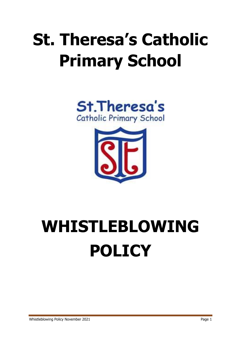## **St. Theresa's Catholic Primary School**





# **WHISTLEBLOWING POLICY**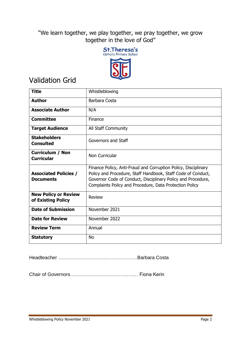"We learn together, we play together, we pray together, we grow together in the love of God"



### Validation Grid

| <b>Title</b>                                      | Whistleblowing                                                                                                                                                                                                                                            |  |
|---------------------------------------------------|-----------------------------------------------------------------------------------------------------------------------------------------------------------------------------------------------------------------------------------------------------------|--|
| <b>Author</b>                                     | Barbara Costa                                                                                                                                                                                                                                             |  |
| <b>Associate Author</b>                           | N/A                                                                                                                                                                                                                                                       |  |
| <b>Committee</b>                                  | Finance                                                                                                                                                                                                                                                   |  |
| <b>Target Audience</b>                            | All Staff Community                                                                                                                                                                                                                                       |  |
| <b>Stakeholders</b><br><b>Consulted</b>           | Governors and Staff                                                                                                                                                                                                                                       |  |
| <b>Curriculum / Non</b><br><b>Curricular</b>      | Non Curricular                                                                                                                                                                                                                                            |  |
| <b>Associated Policies /</b><br><b>Documents</b>  | Finance Policy, Anti-Fraud and Corruption Policy, Disciplinary<br>Policy and Procedure, Staff Handbook, Staff Code of Conduct,<br>Governor Code of Conduct, Disciplinary Policy and Procedure,<br>Complaints Policy and Procedure, Data Protection Policy |  |
| <b>New Policy or Review</b><br>of Existing Policy | <b>Review</b>                                                                                                                                                                                                                                             |  |
| <b>Date of Submission</b>                         | November 2021                                                                                                                                                                                                                                             |  |
| <b>Date for Review</b>                            | November 2022                                                                                                                                                                                                                                             |  |
| <b>Review Term</b>                                | Annual                                                                                                                                                                                                                                                    |  |
| <b>Statutory</b>                                  | <b>No</b>                                                                                                                                                                                                                                                 |  |

Headteacher ………………………………………….Barbara Costa

Chair of Governors…………………………………… Fiona Kerin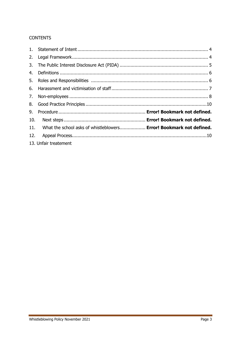#### **CONTENTS**

| 4.  |                                                                         |  |
|-----|-------------------------------------------------------------------------|--|
|     |                                                                         |  |
|     |                                                                         |  |
|     |                                                                         |  |
|     |                                                                         |  |
| 9.  |                                                                         |  |
| 10. |                                                                         |  |
|     | 11. What the school asks of whistleblowers Error! Bookmark not defined. |  |
| 12. |                                                                         |  |
|     | 13. Unfair treatement                                                   |  |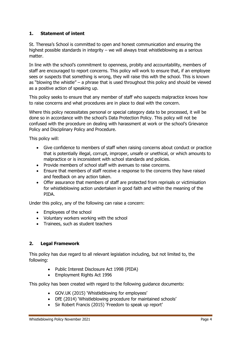#### <span id="page-3-0"></span>**1. Statement of intent**

St. Theresa's School is committed to open and honest communication and ensuring the highest possible standards in integrity – we will always treat whistleblowing as a serious matter.

In line with the school's commitment to openness, probity and accountability, members of staff are encouraged to report concerns. This policy will work to ensure that, if an employee sees or suspects that something is wrong, they will raise this with the school. This is known as "blowing the whistle" – a phrase that is used throughout this policy and should be viewed as a positive action of speaking up.

This policy seeks to ensure that any member of staff who suspects malpractice knows how to raise concerns and what procedures are in place to deal with the concern.

Where this policy necessitates personal or special category data to be processed, it will be done so in accordance with the school's Data Protection Policy. This policy will not be confused with the procedure on dealing with harassment at work or the school's Grievance Policy and Disciplinary Policy and Procedure.

This policy will:

- Give confidence to members of staff when raising concerns about conduct or practice that is potentially illegal, corrupt, improper, unsafe or unethical, or which amounts to malpractice or is inconsistent with school standards and policies.
- Provide members of school staff with avenues to raise concerns.
- Ensure that members of staff receive a response to the concerns they have raised and feedback on any action taken.
- Offer assurance that members of staff are protected from reprisals or victimisation for whistleblowing action undertaken in good faith and within the meaning of the PIDA.

Under this policy, any of the following can raise a concern:

- Employees of the school
- Voluntary workers working with the school
- Trainees, such as student teachers

#### <span id="page-3-1"></span>**2. Legal Framework**

This policy has due regard to all relevant legislation including, but not limited to, the following:

- Public Interest Disclosure Act 1998 (PIDA)
- Employment Rights Act 1996

This policy has been created with regard to the following guidance documents:

- GOV.UK (2015) 'Whistleblowing for employees'
- DfE (2014) 'Whistleblowing procedure for maintained schools'
- Sir Robert Francis (2015) 'Freedom to speak up report'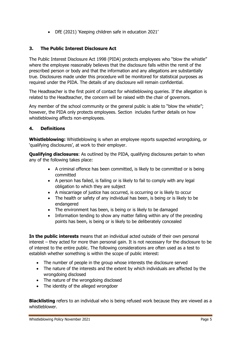DfE (2021) 'Keeping children safe in education 2021'

#### <span id="page-4-0"></span>**3. The Public Interest Disclosure Act**

The Public Interest Disclosure Act 1998 (PIDA) protects employees who "blow the whistle" where the employee reasonably believes that the disclosure falls within the remit of the prescribed person or body and that the information and any allegations are substantially true. Disclosures made under this procedure will be monitored for statistical purposes as required under the PIDA. The details of any disclosure will remain confidential.

The Headteacher is the first point of contact for whistleblowing queries. If the allegation is related to the Headteacher, the concern will be raised with the chair of governors.

Any member of the school community or the general public is able to "blow the whistle"; however, the PIDA only protects employees. Section includes further details on how whistleblowing affects non-employees.

#### **4. Definitions**

**Whistleblowing:** Whistleblowing is when an employee reports suspected wrongdoing, or 'qualifying disclosures', at work to their employer.

**Qualifying disclosures**: As outlined by the PIDA, qualifying disclosures pertain to when any of the following takes place:

- A criminal offence has been committed, is likely to be committed or is being committed
- A person has failed, is failing or is likely to fail to comply with any legal obligation to which they are subject
- A miscarriage of justice has occurred, is occurring or is likely to occur
- The health or safety of any individual has been, is being or is likely to be endangered
- The environment has been, is being or is likely to be damaged
- Information tending to show any matter falling within any of the preceding points has been, is being or is likely to be deliberately concealed

**In the public interests** means that an individual acted outside of their own personal interest – they acted for more than personal gain. It is not necessary for the disclosure to be of interest to the entire public. The following considerations are often used as a test to establish whether something is within the scope of public interest:

- The number of people in the group whose interests the disclosure served
- The nature of the interests and the extent by which individuals are affected by the wrongdoing disclosed
- The nature of the wrongdoing disclosed
- The identity of the alleged wrongdoer

**Blacklisting** refers to an individual who is being refused work because they are viewed as a whistleblower.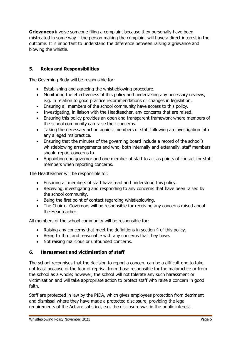**Grievances** involve someone filing a complaint because they personally have been mistreated in some way – the person making the complaint will have a direct interest in the outcome. It is important to understand the difference between raising a grievance and blowing the whistle.

#### <span id="page-5-0"></span>**5. Roles and Responsibilities**

The Governing Body will be responsible for:

- Establishing and agreeing the whistleblowing procedure.
- Monitoring the effectiveness of this policy and undertaking any necessary reviews, e.g. in relation to good practice recommendations or changes in legislation.
- Ensuring all members of the school community have access to this policy.
- Investigating, in liaison with the Headteacher, any concerns that are raised.
- Ensuring this policy provides an open and transparent framework where members of the school community can raise their concerns.
- Taking the necessary action against members of staff following an investigation into any alleged malpractice.
- Ensuring that the minutes of the governing board include a record of the school's whistleblowing arrangements and who, both internally and externally, staff members should report concerns to.
- Appointing one governor and one member of staff to act as points of contact for staff members when reporting concerns.

The Headteacher will be responsible for:

- Ensuring all members of staff have read and understood this policy.
- Receiving, investigating and responding to any concerns that have been raised by the school community.
- Being the first point of contact regarding whistleblowing.
- The Chair of Governors will be responsible for receiving any concerns raised about the Headteacher.

All members of the school community will be responsible for:

- Raising any concerns that meet the definitions in section 4 of this policy.
- Being truthful and reasonable with any concerns that they have.
- Not raising malicious or unfounded concerns.

#### <span id="page-5-1"></span>**6. Harassment and victimisation of staff**

The school recognises that the decision to report a concern can be a difficult one to take, not least because of the fear of reprisal from those responsible for the malpractice or from the school as a whole; however, the school will not tolerate any such harassment or victimisation and will take appropriate action to protect staff who raise a concern in good faith.

Staff are protected in law by the PIDA, which gives employees protection from detriment and dismissal where they have made a protected disclosure, providing the legal requirements of the Act are satisfied, e.g. the disclosure was in the public interest.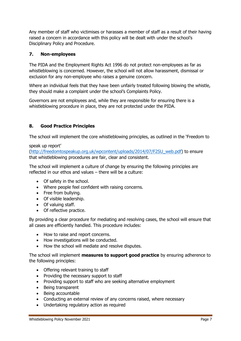Any member of staff who victimises or harasses a member of staff as a result of their having raised a concern in accordance with this policy will be dealt with under the school's Disciplinary Policy and Procedure.

#### <span id="page-6-0"></span>**7. Non-employees**

The PIDA and the Employment Rights Act 1996 do not protect non-employees as far as whistleblowing is concerned. However, the school will not allow harassment, dismissal or exclusion for any non-employee who raises a genuine concern.

Where an individual feels that they have been unfairly treated following blowing the whistle, they should make a complaint under the school's Complaints Policy.

Governors are not employees and, while they are responsible for ensuring there is a whistleblowing procedure in place, they are not protected under the PIDA.

#### **8. Good Practice Principles**

The school will implement the core whistleblowing principles, as outlined in the 'Freedom to

speak up report'

[\(http://freedomtospeakup.org.uk/wpcontent/uploads/2014/07/F2SU\\_web.pdf\)](http://freedomtospeakup.org.uk/wpcontent/uploads/2014/07/F2SU_web.pdf) to ensure that whistleblowing procedures are fair, clear and consistent.

The school will implement a culture of change by ensuring the following principles are reflected in our ethos and values – there will be a culture:

- Of safety in the school.
- Where people feel confident with raising concerns.
- Free from bullving.
- Of visible leadership.
- Of valuing staff.
- Of reflective practice.

By providing a clear procedure for mediating and resolving cases, the school will ensure that all cases are efficiently handled. This procedure includes:

- How to raise and report concerns.
- How investigations will be conducted.
- How the school will mediate and resolve disputes.

The school will implement **measures to support good practice** by ensuring adherence to the following principles:

- Offering relevant training to staff
- Providing the necessary support to staff
- Providing support to staff who are seeking alternative employment
- Being transparent
- Being accountable
- Conducting an external review of any concerns raised, where necessary
- Undertaking regulatory action as required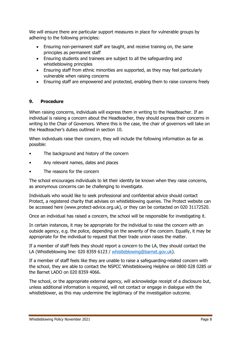We will ensure there are particular support measures in place for vulnerable groups by adhering to the following principles:

- Ensuring non-permanent staff are taught, and receive training on, the same principles as permanent staff
- Ensuring students and trainees are subject to all the safeguarding and whistleblowing principles
- Ensuring staff from ethnic minorities are supported, as they may feel particularly vulnerable when raising concerns
- Ensuring staff are empowered and protected, enabling them to raise concerns freely

#### <span id="page-7-0"></span>**9. Procedure**

When raising concerns, individuals will express them in writing to the Headteacher. If an individual is raising a concern about the Headteacher, they should express their concerns in writing to the Chair of Governors. Where this is the case, the chair of governors will take on the Headteacher's duties outlined in section 10.

When individuals raise their concern, they will include the following information as far as possible:

- The background and history of the concern
- Any relevant names, dates and places
- The reasons for the concern

The school encourages individuals to let their identity be known when they raise concerns, as anonymous concerns can be challenging to investigate.

Individuals who would like to seek professional and confidential advice should contact Protect, a registered charity that advises on whistleblowing queries. The Protect website can be accessed here (www.protect-advice.org.uk), or they can be contacted on 020 31172520.

Once an individual has raised a concern, the school will be responsible for investigating it.

In certain instances, it may be appropriate for the individual to raise the concern with an outside agency, e.g. the police, depending on the severity of the concern. Equally, it may be appropriate for the individual to request that their trade union raises the matter.

If a member of staff feels they should report a concern to the LA, they should contact the LA (Whistleblowing line: 020 8359 6123 / [whistleblowing@barnet.gov.uk\)](mailto:whistleblowing@barnet.gov.uk).

If a member of staff feels like they are unable to raise a safeguarding-related concern with the school, they are able to contact the NSPCC Whistleblowing Helpline on 0800 028 0285 or the Barnet LADO on 020 8359 4066.

The school, or the appropriate external agency, will acknowledge receipt of a disclosure but, unless additional information is required, will not contact or engage in dialogue with the whistleblower, as this may undermine the legitimacy of the investigation outcome.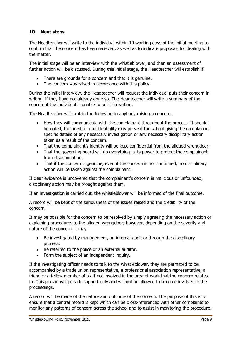#### **10. Next steps**

The Headteacher will write to the individual within 10 working days of the initial meeting to confirm that the concern has been received, as well as to indicate proposals for dealing with the matter.

The initial stage will be an interview with the whistleblower, and then an assessment of further action will be discussed. During this initial stage, the Headteacher will establish if:

- There are grounds for a concern and that it is genuine.
- The concern was raised in accordance with this policy.

During the initial interview, the Headteacher will request the individual puts their concern in writing, if they have not already done so. The Headteacher will write a summary of the concern if the individual is unable to put it in writing.

The Headteacher will explain the following to anybody raising a concern:

- How they will communicate with the complainant throughout the process. It should be noted, the need for confidentiality may prevent the school giving the complainant specific details of any necessary investigation or any necessary disciplinary action taken as a result of the concern.
- That the complainant's identity will be kept confidential from the alleged wrongdoer.
- That the governing board will do everything in its power to protect the complainant from discrimination.
- That if the concern is genuine, even if the concern is not confirmed, no disciplinary action will be taken against the complainant.

If clear evidence is uncovered that the complainant's concern is malicious or unfounded, disciplinary action may be brought against them.

If an investigation is carried out, the whistleblower will be informed of the final outcome.

A record will be kept of the seriousness of the issues raised and the credibility of the concern.

It may be possible for the concern to be resolved by simply agreeing the necessary action or explaining procedures to the alleged wrongdoer; however, depending on the severity and nature of the concern, it may:

- Be investigated by management, an internal audit or through the disciplinary process.
- Be referred to the police or an external auditor.
- Form the subject of an independent inquiry.

If the investigating officer needs to talk to the whistleblower, they are permitted to be accompanied by a trade union representative, a professional association representative, a friend or a fellow member of staff not involved in the area of work that the concern relates to. This person will provide support only and will not be allowed to become involved in the proceedings.

A record will be made of the nature and outcome of the concern. The purpose of this is to ensure that a central record is kept which can be cross-referenced with other complaints to monitor any patterns of concern across the school and to assist in monitoring the procedure.